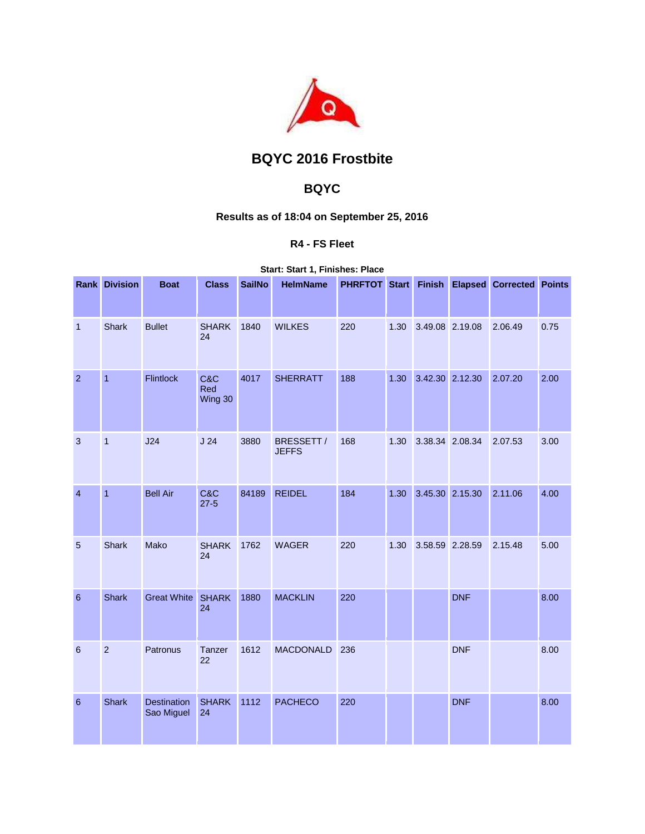

# **BQYC 2016 Frostbite**

## **BQYC**

### **Results as of 18:04 on September 25, 2016**

### **R4 - FS Fleet**

**Start: Start 1, Finishes: Place** 

|                 | <b>Rank Division</b> | <b>Boat</b>                      | <b>Class</b>          | <b>SailNo</b> | <b>HelmName</b>           | <b>PHRFTOT Start</b> |      | <b>Finish</b>   |            | <b>Elapsed Corrected</b> | <b>Points</b> |
|-----------------|----------------------|----------------------------------|-----------------------|---------------|---------------------------|----------------------|------|-----------------|------------|--------------------------|---------------|
| $\mathbf{1}$    | <b>Shark</b>         | <b>Bullet</b>                    | <b>SHARK</b><br>24    | 1840          | <b>WILKES</b>             | 220                  | 1.30 | 3.49.08 2.19.08 |            | 2.06.49                  | 0.75          |
| $\overline{2}$  | $\mathbf{1}$         | Flintlock                        | C&C<br>Red<br>Wing 30 | 4017          | <b>SHERRATT</b>           | 188                  | 1.30 | 3.42.30 2.12.30 |            | 2.07.20                  | 2.00          |
| 3               | $\mathbf{1}$         | J24                              | J24                   | 3880          | BRESSETT/<br><b>JEFFS</b> | 168                  | 1.30 | 3.38.34 2.08.34 |            | 2.07.53                  | 3.00          |
| $\overline{4}$  | $\mathbf{1}$         | <b>Bell Air</b>                  | C&C<br>$27 - 5$       | 84189         | <b>REIDEL</b>             | 184                  | 1.30 | 3.45.30 2.15.30 |            | 2.11.06                  | 4.00          |
| 5               | Shark                | Mako                             | <b>SHARK</b><br>24    | 1762          | <b>WAGER</b>              | 220                  | 1.30 | 3.58.59 2.28.59 |            | 2.15.48                  | 5.00          |
| $6\phantom{1}6$ | <b>Shark</b>         | <b>Great White</b>               | <b>SHARK</b><br>24    | 1880          | <b>MACKLIN</b>            | 220                  |      |                 | <b>DNF</b> |                          | 8.00          |
| 6               | $\overline{a}$       | Patronus                         | Tanzer<br>22          | 1612          | <b>MACDONALD</b>          | 236                  |      |                 | <b>DNF</b> |                          | 8.00          |
| $6\phantom{1}6$ | <b>Shark</b>         | <b>Destination</b><br>Sao Miguel | <b>SHARK</b><br>24    | 1112          | <b>PACHECO</b>            | 220                  |      |                 | <b>DNF</b> |                          | 8.00          |